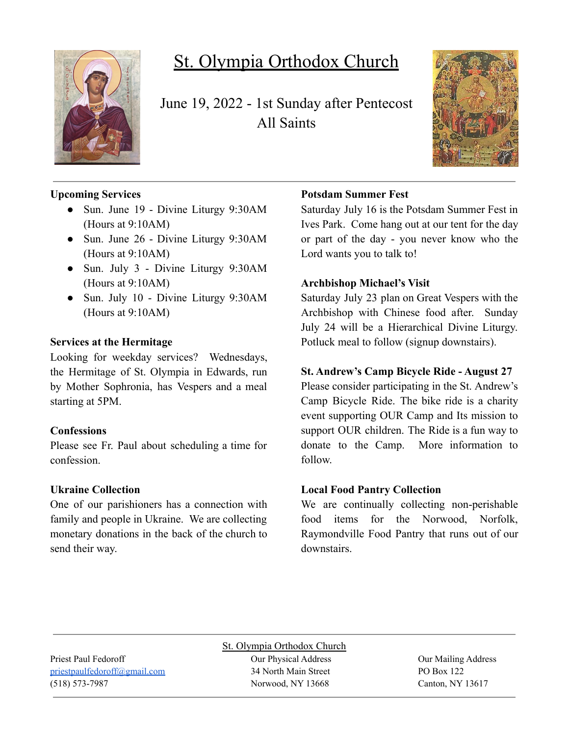

# St. Olympia Orthodox Church

June 19, 2022 - 1st Sunday after Pentecost All Saints



# **Upcoming Services**

- Sun. June 19 Divine Liturgy 9:30AM (Hours at 9:10AM)
- Sun. June 26 Divine Liturgy 9:30AM (Hours at 9:10AM)
- Sun. July 3 Divine Liturgy 9:30AM (Hours at 9:10AM)
- Sun. July 10 Divine Liturgy 9:30AM (Hours at 9:10AM)

#### **Services at the Hermitage**

Looking for weekday services? Wednesdays, the Hermitage of St. Olympia in Edwards, run by Mother Sophronia, has Vespers and a meal starting at 5PM.

#### **Confessions**

Please see Fr. Paul about scheduling a time for confession.

# **Ukraine Collection**

One of our parishioners has a connection with family and people in Ukraine. We are collecting monetary donations in the back of the church to send their way.

# **Potsdam Summer Fest**

Saturday July 16 is the Potsdam Summer Fest in Ives Park. Come hang out at our tent for the day or part of the day - you never know who the Lord wants you to talk to!

# **Archbishop Michael's Visit**

Saturday July 23 plan on Great Vespers with the Archbishop with Chinese food after. Sunday July 24 will be a Hierarchical Divine Liturgy. Potluck meal to follow (signup downstairs).

# **St. Andrew's Camp Bicycle Ride - August 27**

Please consider participating in the St. Andrew's Camp Bicycle Ride. The bike ride is a charity event supporting OUR Camp and Its mission to support OUR children. The Ride is a fun way to donate to the Camp. More information to follow.

# **Local Food Pantry Collection**

We are continually collecting non-perishable food items for the Norwood, Norfolk, Raymondville Food Pantry that runs out of our downstairs.

St. Olympia Orthodox Church Priest Paul Fedoroff Our Physical Address Our Mailing Address [priestpaulfedoroff@gmail.com](mailto:priestpaulfedoroff@gmail.com) 34 North Main Street PO Box 122 (518) 573-7987 Norwood, NY 13668 Canton, NY 13617